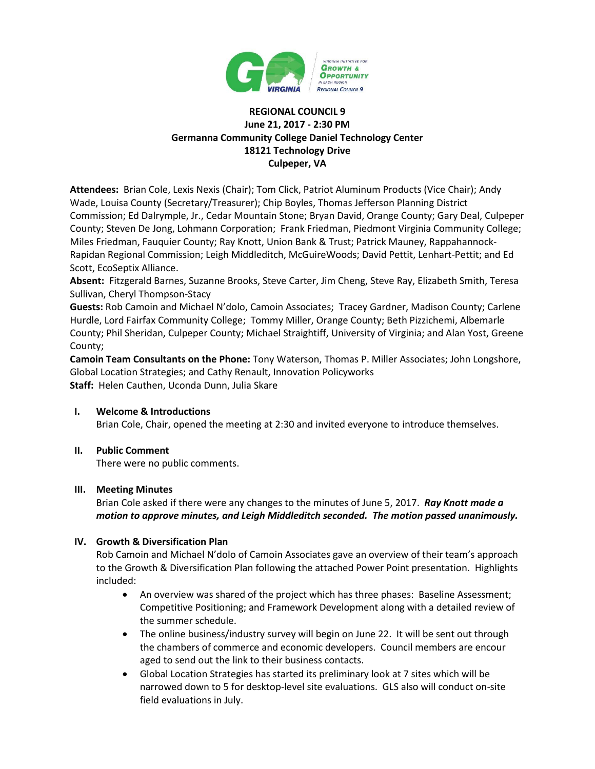

# **REGIONAL COUNCIL 9 June 21, 2017 - 2:30 PM Germanna Community College Daniel Technology Center 18121 Technology Drive Culpeper, VA**

**Attendees:** Brian Cole, Lexis Nexis (Chair); Tom Click, Patriot Aluminum Products (Vice Chair); Andy Wade, Louisa County (Secretary/Treasurer); Chip Boyles, Thomas Jefferson Planning District Commission; Ed Dalrymple, Jr., Cedar Mountain Stone; Bryan David, Orange County; Gary Deal, Culpeper County; Steven De Jong, Lohmann Corporation; Frank Friedman, Piedmont Virginia Community College; Miles Friedman, Fauquier County; Ray Knott, Union Bank & Trust; Patrick Mauney, Rappahannock-Rapidan Regional Commission; Leigh Middleditch, McGuireWoods; David Pettit, Lenhart-Pettit; and Ed Scott, EcoSeptix Alliance.

**Absent:** Fitzgerald Barnes, Suzanne Brooks, Steve Carter, Jim Cheng, Steve Ray, Elizabeth Smith, Teresa Sullivan, Cheryl Thompson-Stacy

**Guests:** Rob Camoin and Michael N'dolo, Camoin Associates; Tracey Gardner, Madison County; Carlene Hurdle, Lord Fairfax Community College; Tommy Miller, Orange County; Beth Pizzichemi, Albemarle County; Phil Sheridan, Culpeper County; Michael Straightiff, University of Virginia; and Alan Yost, Greene County;

**Camoin Team Consultants on the Phone:** Tony Waterson, Thomas P. Miller Associates; John Longshore, Global Location Strategies; and Cathy Renault, Innovation Policyworks **Staff:** Helen Cauthen, Uconda Dunn, Julia Skare

### **I. Welcome & Introductions**

Brian Cole, Chair, opened the meeting at 2:30 and invited everyone to introduce themselves.

### **II. Public Comment**

There were no public comments.

### **III. Meeting Minutes**

Brian Cole asked if there were any changes to the minutes of June 5, 2017. *Ray Knott made a motion to approve minutes, and Leigh Middleditch seconded. The motion passed unanimously.* 

# **IV. Growth & Diversification Plan**

Rob Camoin and Michael N'dolo of Camoin Associates gave an overview of their team's approach to the Growth & Diversification Plan following the attached Power Point presentation. Highlights included:

- An overview was shared of the project which has three phases: Baseline Assessment; Competitive Positioning; and Framework Development along with a detailed review of the summer schedule.
- The online business/industry survey will begin on June 22. It will be sent out through the chambers of commerce and economic developers. Council members are encour aged to send out the link to their business contacts.
- Global Location Strategies has started its preliminary look at 7 sites which will be narrowed down to 5 for desktop-level site evaluations. GLS also will conduct on-site field evaluations in July.